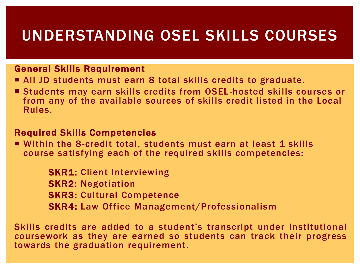## UNDERSTANDING OSEL SKILLS COURSES

#### General Skills Requirement

- All JD students must earn 8 total skills credits to graduate.
- Students may earn skills credits from OSEL-hosted skills courses or from any of the available sources of skills credit listed in the Local Rules.

#### Required Skills Competencies

■ Within the 8-credit total, students must earn at least 1 skills course satisfying each of the required skills competencies:

> **SKR1: Client Interviewing** SKR2: Negotiation SKR3: Cultural Competence SKR4: Law Office Management/Professionalism

Skills credits are added to a student's transcript under institutional coursework as they are earned so students can track their progress towards the graduation requirement.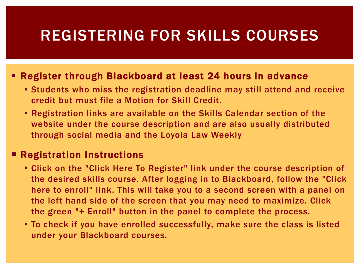## REGISTERING FOR SKILLS COURSES

#### Register through Blackboard at least 24 hours in advance

- **EXTERN Students who miss the registration deadline may still attend and receive** credit but must file a Motion for Skill Credit.
- Registration links are available on the Skills Calendar section of the website under the course description and are also usually distributed through social media and the Loyola Law Weekly

#### **Registration Instructions**

- **EXA)** Click on the "Click Here To Register" link under the course description of the desired skills course. After logging in to Blackboard, follow the "Click here to enroll" link. This will take you to a second screen with a panel on the left hand side of the screen that you may need to maximize. Click the green "+ Enroll" button in the panel to complete the process.
- To check if you have enrolled successfully, make sure the class is listed under your Blackboard courses.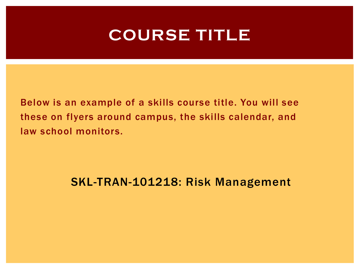## **COURSE TITLE**

Below is an example of a skills course title. You will see these on flyers around campus, the skills calendar, and law school monitors.

### SKL-TRAN-101218: Risk Management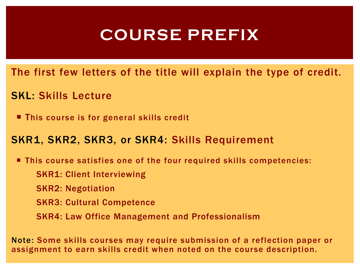# **COURSE PREFIX**

The first few letters of the title will explain the type of credit.

- SKL: Skills Lecture
	- This course is for general skills credit

### SKR1, SKR2, SKR3, or SKR4: Skills Requirement

- This course satisfies one of the four required skills competencies:
	- SKR1: Client Interviewing
	- SKR2: Negotiation
	- SKR3: Cultural Competence
	- SKR4: Law Office Management and Professionalism

Note: Some skills courses may require submission of a reflection paper or assignment to earn skills credit when noted on the course description.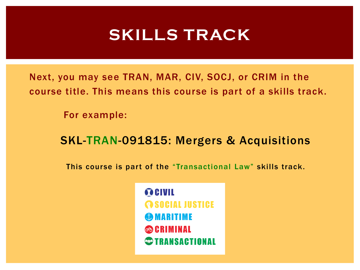# **SKILLS TRACK**

Next, you may see TRAN, MAR, CIV, SOCJ, or CRIM in the course title. This means this course is part of a skills track.

For example:

### SKL-TRAN-091815: Mergers & Acquisitions

This course is part of the "Transactional Law" skills track.

**OCIVIL @SOCIAL JUSTICE GOMARITIME & CRIMINAL STRANSACTIONAL**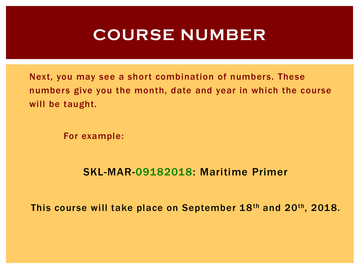## **COURSE NUMBER**

Next, you may see a short combination of numbers. These numbers give you the month, date and year in which the course will be taught.

For example:

### SKL-MAR-09182018: Maritime Primer

This course will take place on September 18th and 20th, 2018.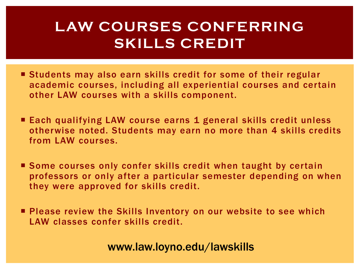### **LAW COURSES CONFERRING SKILLS CREDIT**

- Students may also earn skills credit for some of their regular academic courses, including all experiential courses and certain other LAW courses with a skills component.
- Each qualifying LAW course earns 1 general skills credit unless otherwise noted. Students may earn no more than 4 skills credits from LAW courses.
- Some courses only confer skills credit when taught by certain professors or only after a particular semester depending on when they were approved for skills credit.

**Please review the Skills Inventory on our website to see which** LAW classes confer skills credit.

www.law.loyno.edu/lawskills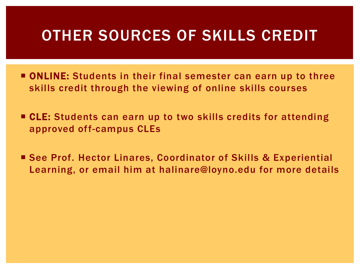## OTHER SOURCES OF SKILLS CREDIT

- **ONLINE:** Students in their final semester can earn up to three skills credit through the viewing of online skills courses
- CLE: Students can earn up to two skills credits for attending approved off-campus CLEs
- See Prof. Hector Linares, Coordinator of Skills & Experiential Learning, or email him at halinare@loyno.edu for more details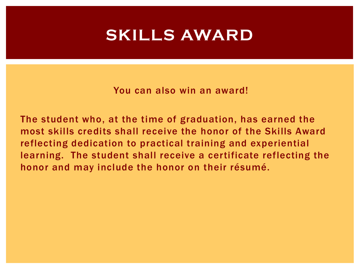## **SKILLS AWARD**

You can also win an award!

The student who, at the time of graduation, has earned the most skills credits shall receive the honor of the Skills Award reflecting dedication to practical training and experiential learning. The student shall receive a certificate reflecting the honor and may include the honor on their résumé.